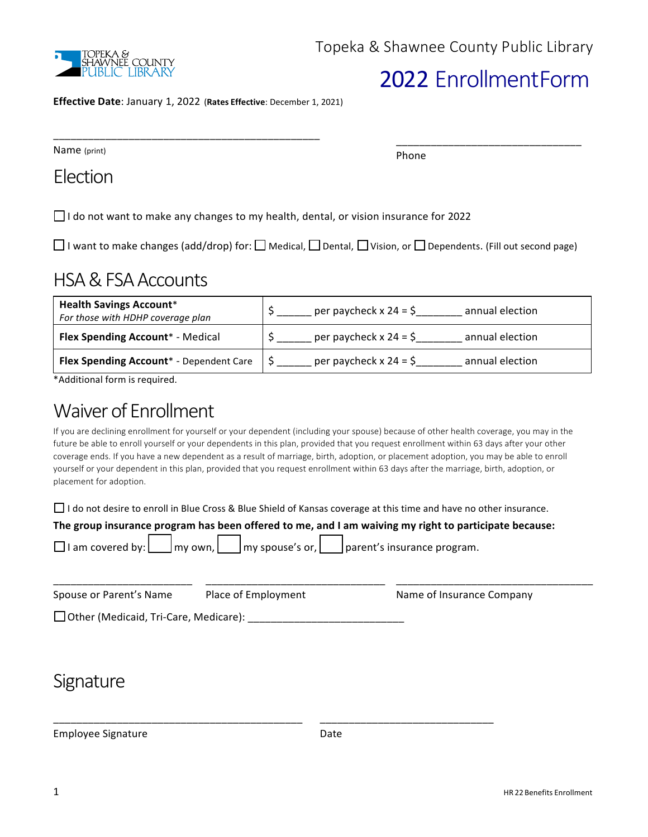

# 2022 EnrollmentForm

\_\_\_\_\_\_\_\_\_\_\_\_\_\_\_\_\_\_\_\_\_\_\_\_\_\_\_\_\_\_\_\_

**Effective Date**: January 1, 2022 (**Rates Effective**: December 1, 2021)

\_\_\_\_\_\_\_\_\_\_\_\_\_\_\_\_\_\_\_\_\_\_\_\_\_\_\_\_\_\_\_\_\_\_\_\_\_\_\_\_\_\_\_\_\_\_

Name (print)

Phone

Election

 $\Box$  I do not want to make any changes to my health, dental, or vision insurance for 2022

□I want to make changes (add/drop) for: □ Medical, □ Dental, □ Vision, or □ Dependents. (Fill out second page)

## HSA & FSA Accounts

| <b>Health Savings Account*</b><br>For those with HDHP coverage plan | per paycheck x 24 = $\zeta$<br>annual election |
|---------------------------------------------------------------------|------------------------------------------------|
| <b>Flex Spending Account* - Medical</b>                             | per paycheck $x 24 = 5$<br>annual election     |
| Flex Spending Account* - Dependent Care                             | per paycheck x 24 = \$<br>annual election      |

\*Additional form is required.

## Waiver of Enrollment

If you are declining enrollment for yourself or your dependent (including your spouse) because of other health coverage, you may in the future be able to enroll yourself or your dependents in this plan, provided that you request enrollment within 63 days after your other coverage ends. If you have a new dependent as a result of marriage, birth, adoption, or placement adoption, you may be able to enroll yourself or your dependent in this plan, provided that you request enrollment within 63 days after the marriage, birth, adoption, or placement for adoption.

 $\Box$  I do not desire to enroll in Blue Cross & Blue Shield of Kansas coverage at this time and have no other insurance.

| The group insurance program has been offered to me, and I am waiving my right to participate because:<br>□ I am covered by: <u>I</u> my own, I my spouse's or, I parent's insurance program. |                     |                           |  |  |
|----------------------------------------------------------------------------------------------------------------------------------------------------------------------------------------------|---------------------|---------------------------|--|--|
| Spouse or Parent's Name                                                                                                                                                                      | Place of Employment | Name of Insurance Company |  |  |
| □ Other (Medicaid, Tri-Care, Medicare):                                                                                                                                                      |                     |                           |  |  |

## **Signature**

Employee Signature **Employee** Signature *Date* 

\_\_\_\_\_\_\_\_\_\_\_\_\_\_\_\_\_\_\_\_\_\_\_\_\_\_\_\_\_\_\_\_\_\_\_\_\_\_\_\_\_\_\_ \_\_\_\_\_\_\_\_\_\_\_\_\_\_\_\_\_\_\_\_\_\_\_\_\_\_\_\_\_\_